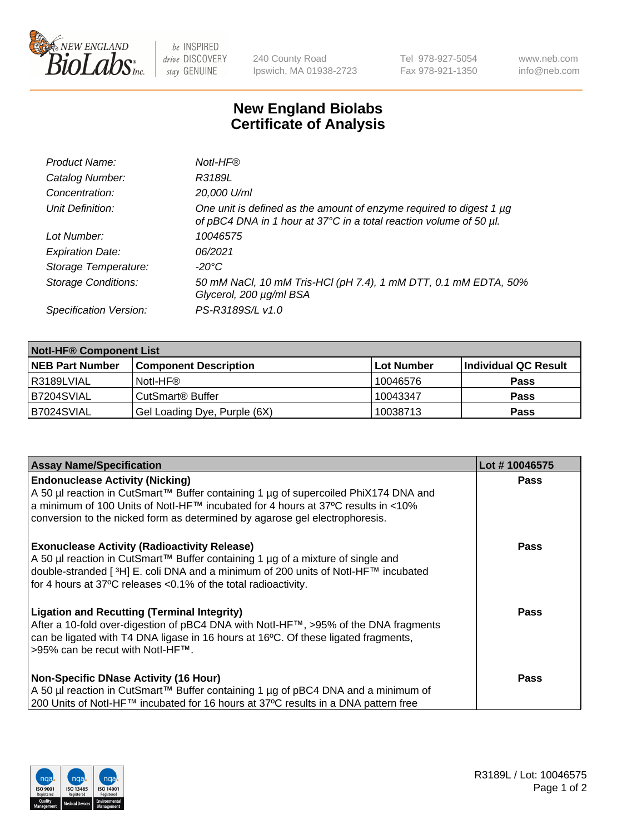

be INSPIRED drive DISCOVERY stay GENUINE

240 County Road Ipswich, MA 01938-2723 Tel 978-927-5054 Fax 978-921-1350 www.neb.com info@neb.com

## **New England Biolabs Certificate of Analysis**

| Product Name:              | Notl-HF®                                                                                                                                  |
|----------------------------|-------------------------------------------------------------------------------------------------------------------------------------------|
| Catalog Number:            | R3189L                                                                                                                                    |
| Concentration:             | 20,000 U/ml                                                                                                                               |
| Unit Definition:           | One unit is defined as the amount of enzyme required to digest 1 µg<br>of pBC4 DNA in 1 hour at 37°C in a total reaction volume of 50 µl. |
| Lot Number:                | 10046575                                                                                                                                  |
| <b>Expiration Date:</b>    | 06/2021                                                                                                                                   |
| Storage Temperature:       | $-20^{\circ}$ C                                                                                                                           |
| <b>Storage Conditions:</b> | 50 mM NaCl, 10 mM Tris-HCl (pH 7.4), 1 mM DTT, 0.1 mM EDTA, 50%<br>Glycerol, 200 µg/ml BSA                                                |
| Specification Version:     | PS-R3189S/L v1.0                                                                                                                          |

| <b>Notl-HF® Component List</b> |                              |            |                      |  |  |
|--------------------------------|------------------------------|------------|----------------------|--|--|
| <b>NEB Part Number</b>         | <b>Component Description</b> | Lot Number | Individual QC Result |  |  |
| l R3189LVIAL                   | Notl-HF®                     | 10046576   | <b>Pass</b>          |  |  |
| IB7204SVIAL                    | CutSmart <sup>®</sup> Buffer | 10043347   | <b>Pass</b>          |  |  |
| B7024SVIAL                     | Gel Loading Dye, Purple (6X) | 10038713   | <b>Pass</b>          |  |  |

| <b>Assay Name/Specification</b>                                                                                                                                                                                                                                                                 | Lot #10046575 |
|-------------------------------------------------------------------------------------------------------------------------------------------------------------------------------------------------------------------------------------------------------------------------------------------------|---------------|
| <b>Endonuclease Activity (Nicking)</b><br>  A 50 µl reaction in CutSmart™ Buffer containing 1 µg of supercoiled PhiX174 DNA and                                                                                                                                                                 | <b>Pass</b>   |
| a minimum of 100 Units of Notl-HF™ incubated for 4 hours at 37°C results in <10%<br>conversion to the nicked form as determined by agarose gel electrophoresis.                                                                                                                                 |               |
| <b>Exonuclease Activity (Radioactivity Release)</b><br>  A 50 µl reaction in CutSmart™ Buffer containing 1 µg of a mixture of single and<br>double-stranded [3H] E. coli DNA and a minimum of 200 units of Notl-HF™ incubated<br>for 4 hours at 37°C releases <0.1% of the total radioactivity. | <b>Pass</b>   |
| <b>Ligation and Recutting (Terminal Integrity)</b><br>After a 10-fold over-digestion of pBC4 DNA with Notl-HF™, >95% of the DNA fragments<br>can be ligated with T4 DNA ligase in 16 hours at 16 $\degree$ C. Of these ligated fragments,<br>1>95% can be recut with NotI-HF™.                  | Pass          |
| <b>Non-Specific DNase Activity (16 Hour)</b><br>A 50 µl reaction in CutSmart™ Buffer containing 1 µg of pBC4 DNA and a minimum of<br>200 Units of Notl-HF™ incubated for 16 hours at 37°C results in a DNA pattern free                                                                         | <b>Pass</b>   |